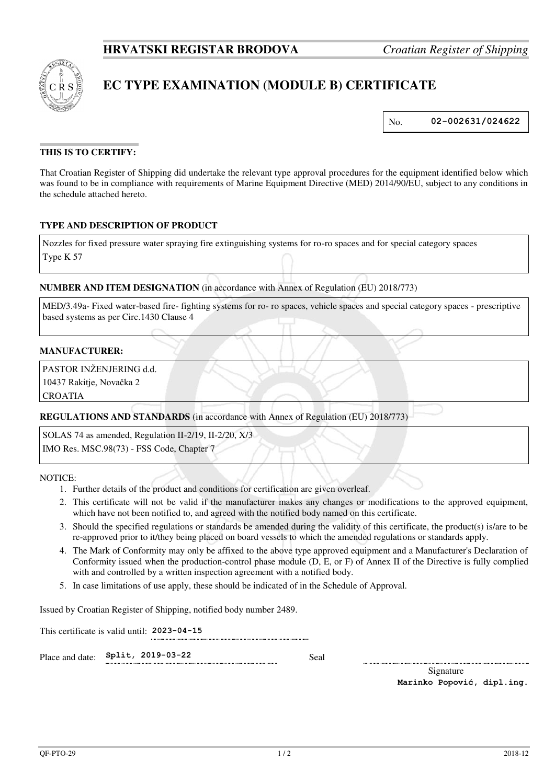

# **EC TYPE EXAMINATION (MODULE B) CERTIFICATE**

No. **02-002631/024622**

# **THIS IS TO CERTIFY:**

That Croatian Register of Shipping did undertake the relevant type approval procedures for the equipment identified below which was found to be in compliance with requirements of Marine Equipment Directive (MED) 2014/90/EU, subject to any conditions in the schedule attached hereto.

### **TYPE AND DESCRIPTION OF PRODUCT**

Nozzles for fixed pressure water spraying fire extinguishing systems for ro-ro spaces and for special category spaces Type K 57

### **NUMBER AND ITEM DESIGNATION** (in accordance with Annex of Regulation (EU) 2018/773)

MED/3.49a- Fixed water-based fire- fighting systems for ro- ro spaces, vehicle spaces and special category spaces - prescriptive based systems as per Circ.1430 Clause 4

### **MANUFACTURER:**

PASTOR INŽENJERING d.d.

10437 Rakitje, Novačka 2

CROATIA

**REGULATIONS AND STANDARDS** (in accordance with Annex of Regulation (EU) 2018/773)

SOLAS 74 as amended, Regulation II-2/19, II-2/20, X/3 IMO Res. MSC.98(73) - FSS Code, Chapter 7

NOTICE:

- 1. Further details of the product and conditions for certification are given overleaf.
- 2. This certificate will not be valid if the manufacturer makes any changes or modifications to the approved equipment, which have not been notified to, and agreed with the notified body named on this certificate.
- 3. Should the specified regulations or standards be amended during the validity of this certificate, the product(s) is/are to be re-approved prior to it/they being placed on board vessels to which the amended regulations or standards apply.
- 4. The Mark of Conformity may only be affixed to the above type approved equipment and a Manufacturer's Declaration of Conformity issued when the production-control phase module (D, E, or F) of Annex II of the Directive is fully complied with and controlled by a written inspection agreement with a notified body.
- 5. In case limitations of use apply, these should be indicated of in the Schedule of Approval.

Issued by Croatian Register of Shipping, notified body number 2489.

This certificate is valid until: **2023-04-15** 

Place and date: **Split, 2019-03-22** Seal

Signature

**Marinko Popović, dipl.ing.**